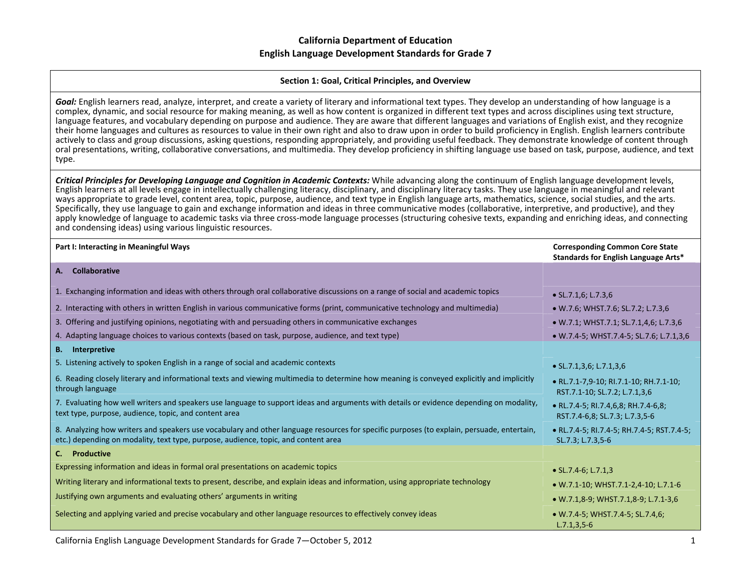#### **Section 1: Goal, Critical Principles, and Overview**

*Goal:* English learners read, analyze, interpret, and create <sup>a</sup> variety of literary and informational text types. They develop an understanding of how language is <sup>a</sup> complex, dynamic, and social resource for making meaning, as well as how content is organized in different text types and across disciplines using text structure, language features, and vocabulary depending on purpose and audience. They are aware that different languages and variations of English exist, and they recognize their home languages and cultures as resources to value in their own right and also to draw upon in order to build proficiency in English. English learners contribute actively to class and group discussions, asking questions, responding appropriately, and providing useful feedback. They demonstrate knowledge of content through oral presentations, writing, collaborative conversations, and multimedia. They develop proficiency in shifting language use based on task, purpose, audience, and text type.

Critical Principles for Developing Language and Cognition in Academic Contexts: While advancing along the continuum of English language development levels, English learners at all levels engage in intellectually challenging literacy, disciplinary, and disciplinary literacy tasks. They use language in meaningful and relevant ways appropriate to grade level, content area, topic, purpose, audience, and text type in English language arts, mathematics, science, social studies, and the arts. Specifically, they use language to gain and exchange information and ideas in three communicative modes (collaborative, interpretive, and productive), and they apply knowledge of language to academic tasks via three cross-mode language processes (structuring cohesive texts, expanding and enriching ideas, and connecting and condensing ideas) using various linguistic resources.

| Part I: Interacting in Meaningful Ways                                                                                                                                                                                          | <b>Corresponding Common Core State</b><br>Standards for English Language Arts* |
|---------------------------------------------------------------------------------------------------------------------------------------------------------------------------------------------------------------------------------|--------------------------------------------------------------------------------|
| <b>Collaborative</b><br>А.                                                                                                                                                                                                      |                                                                                |
| 1. Exchanging information and ideas with others through oral collaborative discussions on a range of social and academic topics                                                                                                 | $\bullet$ SL.7.1,6; L.7.3,6                                                    |
| 2. Interacting with others in written English in various communicative forms (print, communicative technology and multimedia)                                                                                                   | • W.7.6; WHST.7.6; SL.7.2; L.7.3,6                                             |
| 3. Offering and justifying opinions, negotiating with and persuading others in communicative exchanges                                                                                                                          | • W.7.1; WHST.7.1; SL.7.1,4,6; L.7.3,6                                         |
| 4. Adapting language choices to various contexts (based on task, purpose, audience, and text type)                                                                                                                              | • W.7.4-5; WHST.7.4-5; SL.7.6; L.7.1,3,6                                       |
| <b>B.</b> Interpretive                                                                                                                                                                                                          |                                                                                |
| 5. Listening actively to spoken English in a range of social and academic contexts                                                                                                                                              | $\bullet$ SL.7.1,3,6; L.7.1,3,6                                                |
| 6. Reading closely literary and informational texts and viewing multimedia to determine how meaning is conveyed explicitly and implicitly<br>through language                                                                   | • RL.7.1-7,9-10; RI.7.1-10; RH.7.1-10;<br>RST.7.1-10; SL.7.2; L.7.1,3,6        |
| 7. Evaluating how well writers and speakers use language to support ideas and arguments with details or evidence depending on modality,<br>text type, purpose, audience, topic, and content area                                | • RL.7.4-5; RI.7.4,6,8; RH.7.4-6,8;<br>RST.7.4-6,8; SL.7.3; L.7.3,5-6          |
| 8. Analyzing how writers and speakers use vocabulary and other language resources for specific purposes (to explain, persuade, entertain,<br>etc.) depending on modality, text type, purpose, audience, topic, and content area | • RL.7.4-5; RI.7.4-5; RH.7.4-5; RST.7.4-5;<br>SL.7.3; L.7.3,5-6                |
| C. Productive                                                                                                                                                                                                                   |                                                                                |
| Expressing information and ideas in formal oral presentations on academic topics                                                                                                                                                | • $SL.7.4-6$ ; $L.7.1,3$                                                       |
| Writing literary and informational texts to present, describe, and explain ideas and information, using appropriate technology                                                                                                  | • W.7.1-10; WHST.7.1-2,4-10; L.7.1-6                                           |
| Justifying own arguments and evaluating others' arguments in writing                                                                                                                                                            | • W.7.1,8-9; WHST.7.1,8-9; L.7.1-3,6                                           |
| Selecting and applying varied and precise vocabulary and other language resources to effectively convey ideas                                                                                                                   | • W.7.4-5; WHST.7.4-5; SL.7.4,6;<br>$L.7.1, 3.5-6$                             |

California English Language Development Standards for Grade 7—October 5, 2012 1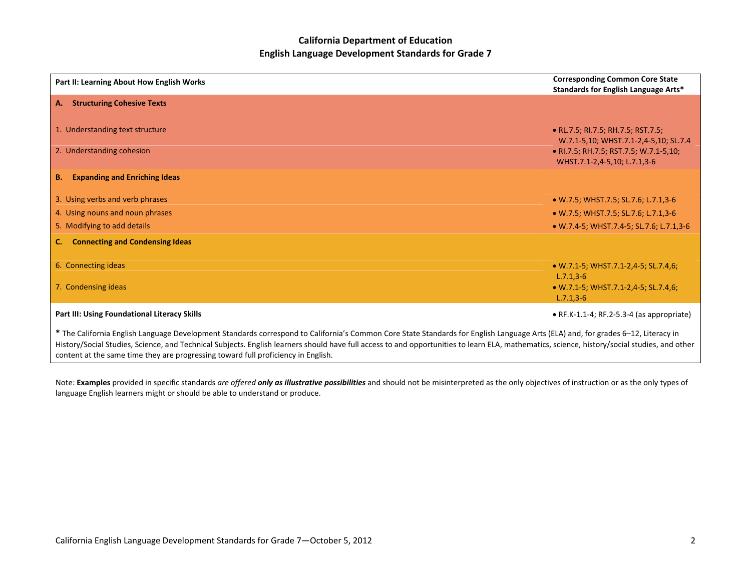| Part II: Learning About How English Works                                                                                                                                                                                                                                                                                                                                                                                                                             | <b>Corresponding Common Core State</b><br>Standards for English Language Arts* |
|-----------------------------------------------------------------------------------------------------------------------------------------------------------------------------------------------------------------------------------------------------------------------------------------------------------------------------------------------------------------------------------------------------------------------------------------------------------------------|--------------------------------------------------------------------------------|
| <b>Structuring Cohesive Texts</b><br>A.                                                                                                                                                                                                                                                                                                                                                                                                                               |                                                                                |
| 1. Understanding text structure                                                                                                                                                                                                                                                                                                                                                                                                                                       | • RL.7.5; RI.7.5; RH.7.5; RST.7.5;<br>W.7.1-5,10; WHST.7.1-2,4-5,10; SL.7.4    |
| 2. Understanding cohesion                                                                                                                                                                                                                                                                                                                                                                                                                                             | • RI.7.5; RH.7.5; RST.7.5; W.7.1-5,10;<br>WHST.7.1-2,4-5,10; L.7.1,3-6         |
| <b>Expanding and Enriching Ideas</b><br><b>B.</b>                                                                                                                                                                                                                                                                                                                                                                                                                     |                                                                                |
| 3. Using verbs and verb phrases                                                                                                                                                                                                                                                                                                                                                                                                                                       | • W.7.5; WHST.7.5; SL.7.6; L.7.1,3-6                                           |
| 4. Using nouns and noun phrases                                                                                                                                                                                                                                                                                                                                                                                                                                       | • W.7.5; WHST.7.5; SL.7.6; L.7.1,3-6                                           |
| 5. Modifying to add details                                                                                                                                                                                                                                                                                                                                                                                                                                           | • W.7.4-5; WHST.7.4-5; SL.7.6; L.7.1,3-6                                       |
| <b>Connecting and Condensing Ideas</b><br>C.                                                                                                                                                                                                                                                                                                                                                                                                                          |                                                                                |
| 6. Connecting ideas                                                                                                                                                                                                                                                                                                                                                                                                                                                   | • W.7.1-5; WHST.7.1-2,4-5; SL.7.4,6;<br>$L.7.1, 3-6$                           |
| 7. Condensing ideas                                                                                                                                                                                                                                                                                                                                                                                                                                                   | • W.7.1-5; WHST.7.1-2,4-5; SL.7.4,6;<br>$L.7.1,3-6$                            |
| Part III: Using Foundational Literacy Skills                                                                                                                                                                                                                                                                                                                                                                                                                          | $\bullet$ RF.K-1.1-4; RF.2-5.3-4 (as appropriate)                              |
| * The California English Language Development Standards correspond to California's Common Core State Standards for English Language Arts (ELA) and, for grades 6-12, Literacy in<br>History/Social Studies, Science, and Technical Subjects. English learners should have full access to and opportunities to learn ELA, mathematics, science, history/social studies, and other<br>content at the same time they are progressing toward full proficiency in English. |                                                                                |

Note: **Examples** provided in specific standards are offered **only as illustrative possibilities** and should not be misinterpreted as the only objectives of instruction or as the only types of language English learners might or should be able to understand or produce.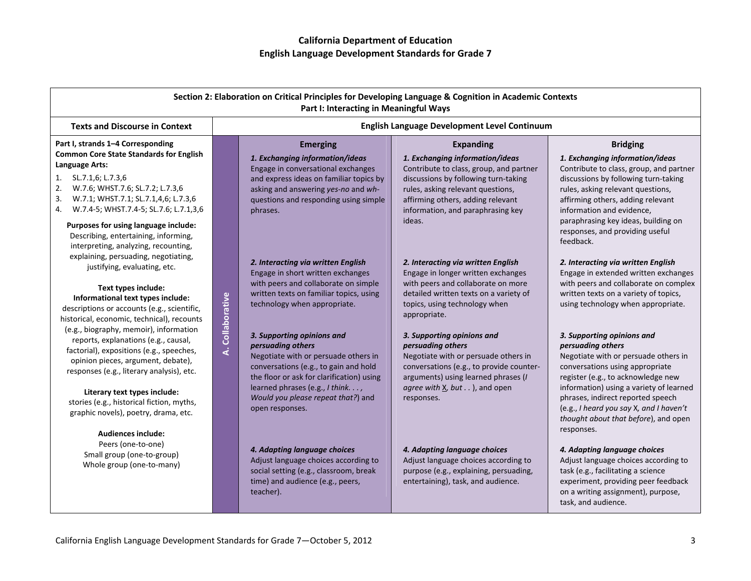|                                                                                                                                                                                                                                                                                                                                                                                                                                                                                                                                                                                                                                                                                                                                                                                                           |                  | Part I: Interacting in Meaningful Ways                                                                                                                                                                                                                                                                                                                                                                                                                                                                                                                                                                                                       | Section 2: Elaboration on Critical Principles for Developing Language & Cognition in Academic Contexts                                                                                                                                                                                                                                                                                                                                                                                                                                                                                                   |                                                                                                                                                                                                                                                                                                                                                                                                                                                                                                                                                                                                                                                                                                                                                                                                                                                                  |
|-----------------------------------------------------------------------------------------------------------------------------------------------------------------------------------------------------------------------------------------------------------------------------------------------------------------------------------------------------------------------------------------------------------------------------------------------------------------------------------------------------------------------------------------------------------------------------------------------------------------------------------------------------------------------------------------------------------------------------------------------------------------------------------------------------------|------------------|----------------------------------------------------------------------------------------------------------------------------------------------------------------------------------------------------------------------------------------------------------------------------------------------------------------------------------------------------------------------------------------------------------------------------------------------------------------------------------------------------------------------------------------------------------------------------------------------------------------------------------------------|----------------------------------------------------------------------------------------------------------------------------------------------------------------------------------------------------------------------------------------------------------------------------------------------------------------------------------------------------------------------------------------------------------------------------------------------------------------------------------------------------------------------------------------------------------------------------------------------------------|------------------------------------------------------------------------------------------------------------------------------------------------------------------------------------------------------------------------------------------------------------------------------------------------------------------------------------------------------------------------------------------------------------------------------------------------------------------------------------------------------------------------------------------------------------------------------------------------------------------------------------------------------------------------------------------------------------------------------------------------------------------------------------------------------------------------------------------------------------------|
| <b>Texts and Discourse in Context</b>                                                                                                                                                                                                                                                                                                                                                                                                                                                                                                                                                                                                                                                                                                                                                                     |                  |                                                                                                                                                                                                                                                                                                                                                                                                                                                                                                                                                                                                                                              | English Language Development Level Continuum                                                                                                                                                                                                                                                                                                                                                                                                                                                                                                                                                             |                                                                                                                                                                                                                                                                                                                                                                                                                                                                                                                                                                                                                                                                                                                                                                                                                                                                  |
| Part I, strands 1-4 Corresponding<br><b>Common Core State Standards for English</b><br>Language Arts:<br>1.<br>SL.7.1,6; L.7.3,6<br>2.<br>W.7.6; WHST.7.6; SL.7.2; L.7.3,6<br>3.<br>W.7.1; WHST.7.1; SL.7.1,4,6; L.7.3,6<br>W.7.4-5; WHST.7.4-5; SL.7.6; L.7.1,3,6<br>4.                                                                                                                                                                                                                                                                                                                                                                                                                                                                                                                                  |                  | <b>Emerging</b><br>1. Exchanging information/ideas<br>Engage in conversational exchanges<br>and express ideas on familiar topics by<br>asking and answering yes-no and wh-<br>questions and responding using simple<br>phrases.                                                                                                                                                                                                                                                                                                                                                                                                              | <b>Expanding</b><br>1. Exchanging information/ideas<br>Contribute to class, group, and partner<br>discussions by following turn-taking<br>rules, asking relevant questions,<br>affirming others, adding relevant<br>information, and paraphrasing key                                                                                                                                                                                                                                                                                                                                                    | <b>Bridging</b><br>1. Exchanging information/ideas<br>Contribute to class, group, and partner<br>discussions by following turn-taking<br>rules, asking relevant questions,<br>affirming others, adding relevant<br>information and evidence,                                                                                                                                                                                                                                                                                                                                                                                                                                                                                                                                                                                                                     |
| Purposes for using language include:<br>Describing, entertaining, informing,<br>interpreting, analyzing, recounting,<br>explaining, persuading, negotiating,<br>justifying, evaluating, etc.<br>Text types include:<br>Informational text types include:<br>descriptions or accounts (e.g., scientific,<br>historical, economic, technical), recounts<br>(e.g., biography, memoir), information<br>reports, explanations (e.g., causal,<br>factorial), expositions (e.g., speeches,<br>opinion pieces, argument, debate),<br>responses (e.g., literary analysis), etc.<br>Literary text types include:<br>stories (e.g., historical fiction, myths,<br>graphic novels), poetry, drama, etc.<br><b>Audiences include:</b><br>Peers (one-to-one)<br>Small group (one-to-group)<br>Whole group (one-to-many) | A. Collaborative | 2. Interacting via written English<br>Engage in short written exchanges<br>with peers and collaborate on simple<br>written texts on familiar topics, using<br>technology when appropriate.<br>3. Supporting opinions and<br>persuading others<br>Negotiate with or persuade others in<br>conversations (e.g., to gain and hold<br>the floor or ask for clarification) using<br>learned phrases (e.g., I think. ,<br>Would you please repeat that?) and<br>open responses.<br>4. Adapting language choices<br>Adjust language choices according to<br>social setting (e.g., classroom, break<br>time) and audience (e.g., peers,<br>teacher). | ideas.<br>2. Interacting via written English<br>Engage in longer written exchanges<br>with peers and collaborate on more<br>detailed written texts on a variety of<br>topics, using technology when<br>appropriate.<br>3. Supporting opinions and<br>persuading others<br>Negotiate with or persuade others in<br>conversations (e.g., to provide counter-<br>arguments) using learned phrases (I<br>agree with X, but ), and open<br>responses.<br>4. Adapting language choices<br>Adjust language choices according to<br>purpose (e.g., explaining, persuading,<br>entertaining), task, and audience. | paraphrasing key ideas, building on<br>responses, and providing useful<br>feedback.<br>2. Interacting via written English<br>Engage in extended written exchanges<br>with peers and collaborate on complex<br>written texts on a variety of topics,<br>using technology when appropriate.<br>3. Supporting opinions and<br>persuading others<br>Negotiate with or persuade others in<br>conversations using appropriate<br>register (e.g., to acknowledge new<br>information) using a variety of learned<br>phrases, indirect reported speech<br>(e.g., I heard you say X, and I haven't<br>thought about that before), and open<br>responses.<br>4. Adapting language choices<br>Adjust language choices according to<br>task (e.g., facilitating a science<br>experiment, providing peer feedback<br>on a writing assignment), purpose,<br>task, and audience. |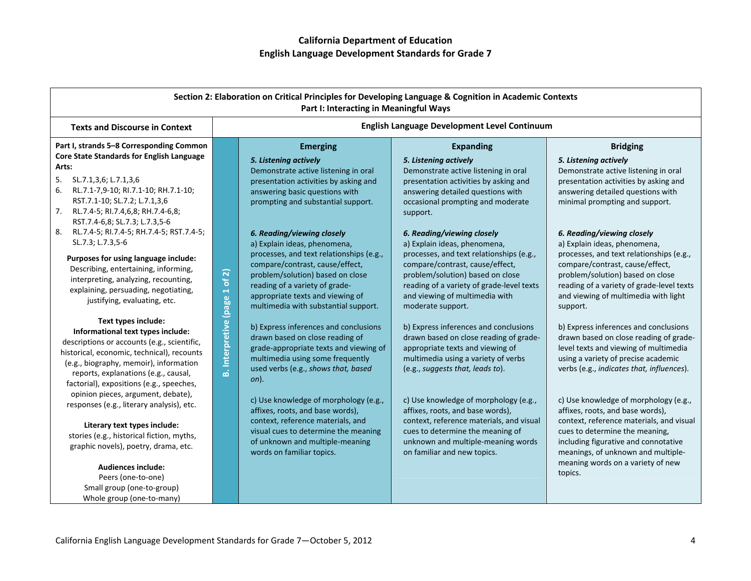| Section 2: Elaboration on Critical Principles for Developing Language & Cognition in Academic Contexts<br>Part I: Interacting in Meaningful Ways                                                                                                                                                                                                                                                                                                                                                                                                                                                                                                                                                                                                                                                                                                                                                                                                                           |                               |                                                                                                                                                                                                                                                                                                                                                                                                                                                                                                                                                                                                                                                                                                                                                                                                                                                                     |                                                                                                                                                                                                                                                                                                                                                                                                                                                                                                                                                                                                                                                                                                                                                                                                                                                                      |                                                                                                                                                                                                                                                                                                                                                                                                                                                                                                                                                                                                                                                                                                                                                                                                                                                               |
|----------------------------------------------------------------------------------------------------------------------------------------------------------------------------------------------------------------------------------------------------------------------------------------------------------------------------------------------------------------------------------------------------------------------------------------------------------------------------------------------------------------------------------------------------------------------------------------------------------------------------------------------------------------------------------------------------------------------------------------------------------------------------------------------------------------------------------------------------------------------------------------------------------------------------------------------------------------------------|-------------------------------|---------------------------------------------------------------------------------------------------------------------------------------------------------------------------------------------------------------------------------------------------------------------------------------------------------------------------------------------------------------------------------------------------------------------------------------------------------------------------------------------------------------------------------------------------------------------------------------------------------------------------------------------------------------------------------------------------------------------------------------------------------------------------------------------------------------------------------------------------------------------|----------------------------------------------------------------------------------------------------------------------------------------------------------------------------------------------------------------------------------------------------------------------------------------------------------------------------------------------------------------------------------------------------------------------------------------------------------------------------------------------------------------------------------------------------------------------------------------------------------------------------------------------------------------------------------------------------------------------------------------------------------------------------------------------------------------------------------------------------------------------|---------------------------------------------------------------------------------------------------------------------------------------------------------------------------------------------------------------------------------------------------------------------------------------------------------------------------------------------------------------------------------------------------------------------------------------------------------------------------------------------------------------------------------------------------------------------------------------------------------------------------------------------------------------------------------------------------------------------------------------------------------------------------------------------------------------------------------------------------------------|
| <b>Texts and Discourse in Context</b>                                                                                                                                                                                                                                                                                                                                                                                                                                                                                                                                                                                                                                                                                                                                                                                                                                                                                                                                      |                               |                                                                                                                                                                                                                                                                                                                                                                                                                                                                                                                                                                                                                                                                                                                                                                                                                                                                     | English Language Development Level Continuum                                                                                                                                                                                                                                                                                                                                                                                                                                                                                                                                                                                                                                                                                                                                                                                                                         |                                                                                                                                                                                                                                                                                                                                                                                                                                                                                                                                                                                                                                                                                                                                                                                                                                                               |
| Part I, strands 5-8 Corresponding Common<br>Core State Standards for English Language<br>Arts:<br>5.<br>SL.7.1,3,6; L.7.1,3,6<br>6.<br>RL.7.1-7,9-10; RI.7.1-10; RH.7.1-10;<br>RST.7.1-10; SL.7.2; L.7.1,3,6<br>7.<br>RL.7.4-5; RI.7.4,6,8; RH.7.4-6,8;<br>RST.7.4-6,8; SL.7.3; L.7.3,5-6<br>8.<br>RL.7.4-5; RI.7.4-5; RH.7.4-5; RST.7.4-5;<br>SL.7.3; L.7.3,5-6<br>Purposes for using language include:<br>Describing, entertaining, informing,<br>interpreting, analyzing, recounting,<br>explaining, persuading, negotiating,<br>justifying, evaluating, etc.<br>Text types include:<br>Informational text types include:<br>descriptions or accounts (e.g., scientific,<br>historical, economic, technical), recounts<br>(e.g., biography, memoir), information<br>reports, explanations (e.g., causal,<br>factorial), expositions (e.g., speeches,<br>opinion pieces, argument, debate),<br>responses (e.g., literary analysis), etc.<br>Literary text types include: | B. Interpretive (page 1 of 2) | <b>Emerging</b><br>5. Listening actively<br>Demonstrate active listening in oral<br>presentation activities by asking and<br>answering basic questions with<br>prompting and substantial support.<br>6. Reading/viewing closely<br>a) Explain ideas, phenomena,<br>processes, and text relationships (e.g.,<br>compare/contrast, cause/effect,<br>problem/solution) based on close<br>reading of a variety of grade-<br>appropriate texts and viewing of<br>multimedia with substantial support.<br>b) Express inferences and conclusions<br>drawn based on close reading of<br>grade-appropriate texts and viewing of<br>multimedia using some frequently<br>used verbs (e.g., shows that, based<br>on).<br>c) Use knowledge of morphology (e.g.,<br>affixes, roots, and base words),<br>context, reference materials, and<br>visual cues to determine the meaning | <b>Expanding</b><br>5. Listening actively<br>Demonstrate active listening in oral<br>presentation activities by asking and<br>answering detailed questions with<br>occasional prompting and moderate<br>support.<br>6. Reading/viewing closely<br>a) Explain ideas, phenomena,<br>processes, and text relationships (e.g.,<br>compare/contrast, cause/effect,<br>problem/solution) based on close<br>reading of a variety of grade-level texts<br>and viewing of multimedia with<br>moderate support.<br>b) Express inferences and conclusions<br>drawn based on close reading of grade-<br>appropriate texts and viewing of<br>multimedia using a variety of verbs<br>(e.g., suggests that, leads to).<br>c) Use knowledge of morphology (e.g.,<br>affixes, roots, and base words),<br>context, reference materials, and visual<br>cues to determine the meaning of | <b>Bridging</b><br>5. Listening actively<br>Demonstrate active listening in oral<br>presentation activities by asking and<br>answering detailed questions with<br>minimal prompting and support.<br>6. Reading/viewing closely<br>a) Explain ideas, phenomena,<br>processes, and text relationships (e.g.,<br>compare/contrast, cause/effect,<br>problem/solution) based on close<br>reading of a variety of grade-level texts<br>and viewing of multimedia with light<br>support.<br>b) Express inferences and conclusions<br>drawn based on close reading of grade-<br>level texts and viewing of multimedia<br>using a variety of precise academic<br>verbs (e.g., indicates that, influences).<br>c) Use knowledge of morphology (e.g.,<br>affixes, roots, and base words),<br>context, reference materials, and visual<br>cues to determine the meaning, |
| stories (e.g., historical fiction, myths,<br>graphic novels), poetry, drama, etc.                                                                                                                                                                                                                                                                                                                                                                                                                                                                                                                                                                                                                                                                                                                                                                                                                                                                                          |                               | of unknown and multiple-meaning<br>words on familiar topics.                                                                                                                                                                                                                                                                                                                                                                                                                                                                                                                                                                                                                                                                                                                                                                                                        | unknown and multiple-meaning words<br>on familiar and new topics.                                                                                                                                                                                                                                                                                                                                                                                                                                                                                                                                                                                                                                                                                                                                                                                                    | including figurative and connotative<br>meanings, of unknown and multiple-                                                                                                                                                                                                                                                                                                                                                                                                                                                                                                                                                                                                                                                                                                                                                                                    |
| <b>Audiences include:</b><br>Peers (one-to-one)<br>Small group (one-to-group)<br>Whole group (one-to-many)                                                                                                                                                                                                                                                                                                                                                                                                                                                                                                                                                                                                                                                                                                                                                                                                                                                                 |                               |                                                                                                                                                                                                                                                                                                                                                                                                                                                                                                                                                                                                                                                                                                                                                                                                                                                                     |                                                                                                                                                                                                                                                                                                                                                                                                                                                                                                                                                                                                                                                                                                                                                                                                                                                                      | meaning words on a variety of new<br>topics.                                                                                                                                                                                                                                                                                                                                                                                                                                                                                                                                                                                                                                                                                                                                                                                                                  |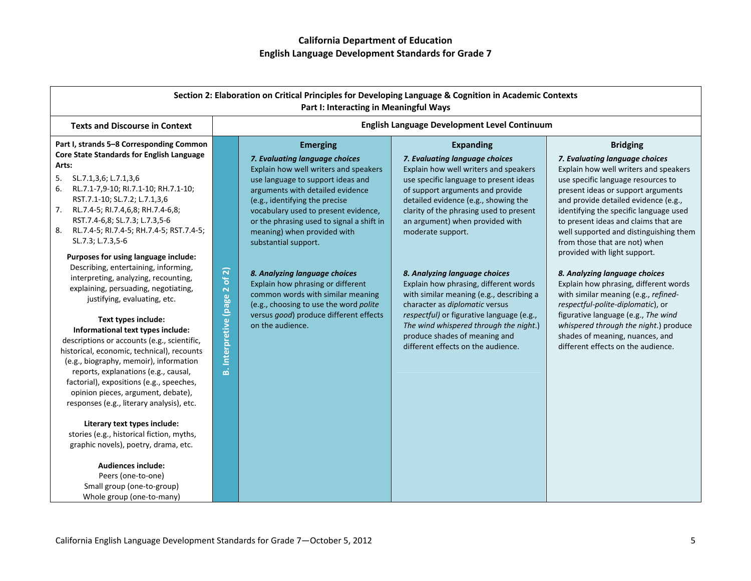|                                                                                                                                                                                                                                                                                                                                                                                                                                                                                                                                                                                                                                                                                                                                                                                                                                                                                                                                                                                                                                                                                                                                                  |                                         | Part I: Interacting in Meaningful Ways                                                                                                                                                                                                                                                                                                                                                                                                                                                                                                                               | Section 2: Elaboration on Critical Principles for Developing Language & Cognition in Academic Contexts                                                                                                                                                                                                                                                                                                                                                                                                                                                                                                                                     |                                                                                                                                                                                                                                                                                                                                                                                                                                                                                                                                                                                                                                                                                                                             |
|--------------------------------------------------------------------------------------------------------------------------------------------------------------------------------------------------------------------------------------------------------------------------------------------------------------------------------------------------------------------------------------------------------------------------------------------------------------------------------------------------------------------------------------------------------------------------------------------------------------------------------------------------------------------------------------------------------------------------------------------------------------------------------------------------------------------------------------------------------------------------------------------------------------------------------------------------------------------------------------------------------------------------------------------------------------------------------------------------------------------------------------------------|-----------------------------------------|----------------------------------------------------------------------------------------------------------------------------------------------------------------------------------------------------------------------------------------------------------------------------------------------------------------------------------------------------------------------------------------------------------------------------------------------------------------------------------------------------------------------------------------------------------------------|--------------------------------------------------------------------------------------------------------------------------------------------------------------------------------------------------------------------------------------------------------------------------------------------------------------------------------------------------------------------------------------------------------------------------------------------------------------------------------------------------------------------------------------------------------------------------------------------------------------------------------------------|-----------------------------------------------------------------------------------------------------------------------------------------------------------------------------------------------------------------------------------------------------------------------------------------------------------------------------------------------------------------------------------------------------------------------------------------------------------------------------------------------------------------------------------------------------------------------------------------------------------------------------------------------------------------------------------------------------------------------------|
| <b>Texts and Discourse in Context</b>                                                                                                                                                                                                                                                                                                                                                                                                                                                                                                                                                                                                                                                                                                                                                                                                                                                                                                                                                                                                                                                                                                            |                                         |                                                                                                                                                                                                                                                                                                                                                                                                                                                                                                                                                                      | English Language Development Level Continuum                                                                                                                                                                                                                                                                                                                                                                                                                                                                                                                                                                                               |                                                                                                                                                                                                                                                                                                                                                                                                                                                                                                                                                                                                                                                                                                                             |
| Part I, strands 5-8 Corresponding Common<br>Core State Standards for English Language<br>Arts:<br>SL.7.1,3,6; L.7.1,3,6<br>5.<br>RL.7.1-7,9-10; RI.7.1-10; RH.7.1-10;<br>6.<br>RST.7.1-10; SL.7.2; L.7.1,3,6<br>RL.7.4-5; RI.7.4,6,8; RH.7.4-6,8;<br>7.<br>RST.7.4-6,8; SL.7.3; L.7.3,5-6<br>RL.7.4-5; RI.7.4-5; RH.7.4-5; RST.7.4-5;<br>8.<br>SL.7.3; L.7.3,5-6<br>Purposes for using language include:<br>Describing, entertaining, informing,<br>interpreting, analyzing, recounting,<br>explaining, persuading, negotiating,<br>justifying, evaluating, etc.<br>Text types include:<br>Informational text types include:<br>descriptions or accounts (e.g., scientific,<br>historical, economic, technical), recounts<br>(e.g., biography, memoir), information<br>reports, explanations (e.g., causal,<br>factorial), expositions (e.g., speeches,<br>opinion pieces, argument, debate),<br>responses (e.g., literary analysis), etc.<br>Literary text types include:<br>stories (e.g., historical fiction, myths,<br>graphic novels), poetry, drama, etc.<br><b>Audiences include:</b><br>Peers (one-to-one)<br>Small group (one-to-group) | of 2)<br><b>B.</b> Interpretive (page 2 | <b>Emerging</b><br>7. Evaluating language choices<br>Explain how well writers and speakers<br>use language to support ideas and<br>arguments with detailed evidence<br>(e.g., identifying the precise<br>vocabulary used to present evidence,<br>or the phrasing used to signal a shift in<br>meaning) when provided with<br>substantial support.<br>8. Analyzing language choices<br>Explain how phrasing or different<br>common words with similar meaning<br>(e.g., choosing to use the word polite<br>versus good) produce different effects<br>on the audience. | <b>Expanding</b><br>7. Evaluating language choices<br>Explain how well writers and speakers<br>use specific language to present ideas<br>of support arguments and provide<br>detailed evidence (e.g., showing the<br>clarity of the phrasing used to present<br>an argument) when provided with<br>moderate support.<br>8. Analyzing language choices<br>Explain how phrasing, different words<br>with similar meaning (e.g., describing a<br>character as diplomatic versus<br>respectful) or figurative language (e.g.,<br>The wind whispered through the night.)<br>produce shades of meaning and<br>different effects on the audience. | <b>Bridging</b><br>7. Evaluating language choices<br>Explain how well writers and speakers<br>use specific language resources to<br>present ideas or support arguments<br>and provide detailed evidence (e.g.,<br>identifying the specific language used<br>to present ideas and claims that are<br>well supported and distinguishing them<br>from those that are not) when<br>provided with light support.<br>8. Analyzing language choices<br>Explain how phrasing, different words<br>with similar meaning (e.g., refined-<br>respectful-polite-diplomatic), or<br>figurative language (e.g., The wind<br>whispered through the night.) produce<br>shades of meaning, nuances, and<br>different effects on the audience. |

Whole group (one‐to‐many)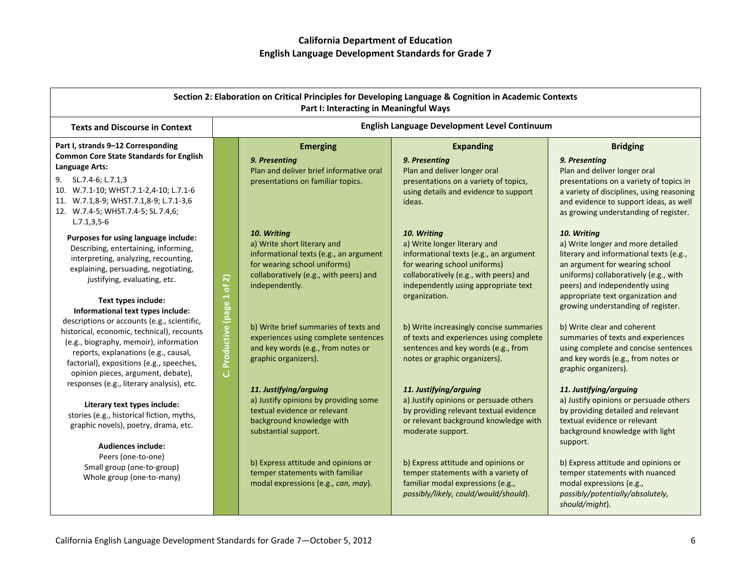|                                                                                                                                                                                                                                                                                                                                                                        |                               | Part I: Interacting in Meaningful Ways                                                                                                                                           | Section 2: Elaboration on Critical Principles for Developing Language & Cognition in Academic Contexts                                                                                                  |                                                                                                                                                                                                                                                    |
|------------------------------------------------------------------------------------------------------------------------------------------------------------------------------------------------------------------------------------------------------------------------------------------------------------------------------------------------------------------------|-------------------------------|----------------------------------------------------------------------------------------------------------------------------------------------------------------------------------|---------------------------------------------------------------------------------------------------------------------------------------------------------------------------------------------------------|----------------------------------------------------------------------------------------------------------------------------------------------------------------------------------------------------------------------------------------------------|
| <b>Texts and Discourse in Context</b>                                                                                                                                                                                                                                                                                                                                  |                               |                                                                                                                                                                                  | English Language Development Level Continuum                                                                                                                                                            |                                                                                                                                                                                                                                                    |
| Part I, strands 9-12 Corresponding<br><b>Common Core State Standards for English</b><br>Language Arts:                                                                                                                                                                                                                                                                 |                               | <b>Emerging</b><br>9. Presenting<br>Plan and deliver brief informative oral                                                                                                      | <b>Expanding</b><br>9. Presenting<br>Plan and deliver longer oral                                                                                                                                       | <b>Bridging</b><br>9. Presenting<br>Plan and deliver longer oral                                                                                                                                                                                   |
| SL.7.4-6; L.7.1,3<br>9.<br>10. W.7.1-10; WHST.7.1-2,4-10; L.7.1-6<br>11. W.7.1,8-9; WHST.7.1,8-9; L.7.1-3,6<br>12. W.7.4-5; WHST.7.4-5; SL.7.4,6;<br>$L.7.1, 3, 5-6$                                                                                                                                                                                                   |                               | presentations on familiar topics.                                                                                                                                                | presentations on a variety of topics,<br>using details and evidence to support<br>ideas.                                                                                                                | presentations on a variety of topics in<br>a variety of disciplines, using reasoning<br>and evidence to support ideas, as well<br>as growing understanding of register.                                                                            |
| Purposes for using language include:<br>Describing, entertaining, informing,<br>interpreting, analyzing, recounting,<br>explaining, persuading, negotiating,<br>justifying, evaluating, etc.                                                                                                                                                                           |                               | 10. Writing<br>a) Write short literary and<br>informational texts (e.g., an argument<br>for wearing school uniforms)<br>collaboratively (e.g., with peers) and<br>independently. | 10. Writing<br>a) Write longer literary and<br>informational texts (e.g., an argument<br>for wearing school uniforms)<br>collaboratively (e.g., with peers) and<br>independently using appropriate text | 10. Writing<br>a) Write longer and more detailed<br>literary and informational texts (e.g.,<br>an argument for wearing school<br>uniforms) collaboratively (e.g., with<br>peers) and independently using                                           |
| Text types include:<br>Informational text types include:<br>descriptions or accounts (e.g., scientific,<br>historical, economic, technical), recounts<br>(e.g., biography, memoir), information<br>reports, explanations (e.g., causal,<br>factorial), expositions (e.g., speeches,<br>opinion pieces, argument, debate),<br>responses (e.g., literary analysis), etc. | Productive (page 1 of 2)<br>ن | b) Write brief summaries of texts and<br>experiences using complete sentences<br>and key words (e.g., from notes or<br>graphic organizers).                                      | organization.<br>b) Write increasingly concise summaries<br>of texts and experiences using complete<br>sentences and key words (e.g., from<br>notes or graphic organizers).                             | appropriate text organization and<br>growing understanding of register.<br>b) Write clear and coherent<br>summaries of texts and experiences<br>using complete and concise sentences<br>and key words (e.g., from notes or<br>graphic organizers). |
| Literary text types include:<br>stories (e.g., historical fiction, myths,<br>graphic novels), poetry, drama, etc.<br><b>Audiences include:</b>                                                                                                                                                                                                                         |                               | 11. Justifying/arguing<br>a) Justify opinions by providing some<br>textual evidence or relevant<br>background knowledge with<br>substantial support.                             | 11. Justifying/arguing<br>a) Justify opinions or persuade others<br>by providing relevant textual evidence<br>or relevant background knowledge with<br>moderate support.                                | 11. Justifying/arguing<br>a) Justify opinions or persuade others<br>by providing detailed and relevant<br>textual evidence or relevant<br>background knowledge with light<br>support.                                                              |
| Peers (one-to-one)<br>Small group (one-to-group)<br>Whole group (one-to-many)                                                                                                                                                                                                                                                                                          |                               | b) Express attitude and opinions or<br>temper statements with familiar<br>modal expressions (e.g., can, may).                                                                    | b) Express attitude and opinions or<br>temper statements with a variety of<br>familiar modal expressions (e.g.,<br>possibly/likely, could/would/should).                                                | b) Express attitude and opinions or<br>temper statements with nuanced<br>modal expressions (e.g.,<br>possibly/potentially/absolutely,<br>should/might).                                                                                            |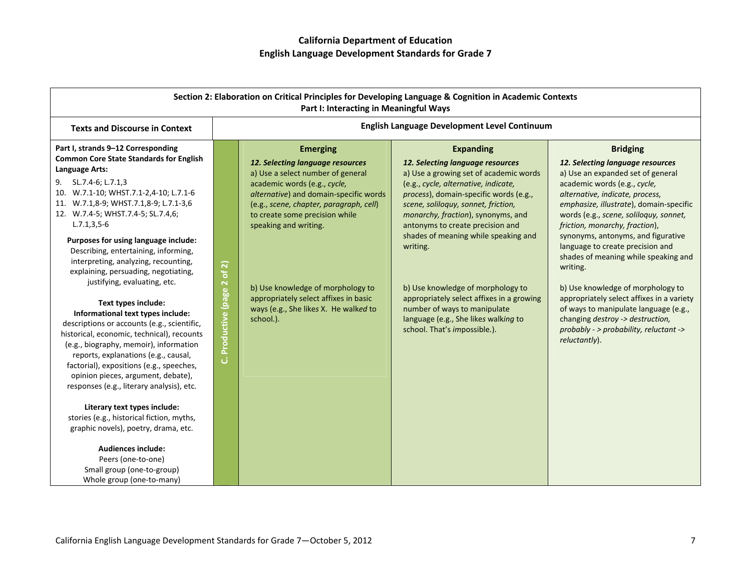| Section 2: Elaboration on Critical Principles for Developing Language & Cognition in Academic Contexts<br>Part I: Interacting in Meaningful Ways                                                                                                                                                                                                                                                                                                                                                                                                                                                                                                                                                                                                                                                                                                                                                                                                                                                                                                                                            |                               |                                                                                                                                                                                                                                                                                                                                                                                                              |                                                                                                                                                                                                                                                                                                                                                                                                                                                                                                                                                 |                                                                                                                                                                                                                                                                                                                                                                                                                                                                                                                                                                                                                                            |
|---------------------------------------------------------------------------------------------------------------------------------------------------------------------------------------------------------------------------------------------------------------------------------------------------------------------------------------------------------------------------------------------------------------------------------------------------------------------------------------------------------------------------------------------------------------------------------------------------------------------------------------------------------------------------------------------------------------------------------------------------------------------------------------------------------------------------------------------------------------------------------------------------------------------------------------------------------------------------------------------------------------------------------------------------------------------------------------------|-------------------------------|--------------------------------------------------------------------------------------------------------------------------------------------------------------------------------------------------------------------------------------------------------------------------------------------------------------------------------------------------------------------------------------------------------------|-------------------------------------------------------------------------------------------------------------------------------------------------------------------------------------------------------------------------------------------------------------------------------------------------------------------------------------------------------------------------------------------------------------------------------------------------------------------------------------------------------------------------------------------------|--------------------------------------------------------------------------------------------------------------------------------------------------------------------------------------------------------------------------------------------------------------------------------------------------------------------------------------------------------------------------------------------------------------------------------------------------------------------------------------------------------------------------------------------------------------------------------------------------------------------------------------------|
| <b>Texts and Discourse in Context</b>                                                                                                                                                                                                                                                                                                                                                                                                                                                                                                                                                                                                                                                                                                                                                                                                                                                                                                                                                                                                                                                       |                               |                                                                                                                                                                                                                                                                                                                                                                                                              | English Language Development Level Continuum                                                                                                                                                                                                                                                                                                                                                                                                                                                                                                    |                                                                                                                                                                                                                                                                                                                                                                                                                                                                                                                                                                                                                                            |
| Part I, strands 9-12 Corresponding<br><b>Common Core State Standards for English</b><br>Language Arts:<br>SL.7.4-6; L.7.1,3<br>9.<br>10. W.7.1-10; WHST.7.1-2,4-10; L.7.1-6<br>11. W.7.1,8-9; WHST.7.1,8-9; L.7.1-3,6<br>12. W.7.4-5; WHST.7.4-5; SL.7.4,6;<br>$L.7.1, 3, 5-6$<br>Purposes for using language include:<br>Describing, entertaining, informing,<br>interpreting, analyzing, recounting,<br>explaining, persuading, negotiating,<br>justifying, evaluating, etc.<br>Text types include:<br>Informational text types include:<br>descriptions or accounts (e.g., scientific,<br>historical, economic, technical), recounts<br>(e.g., biography, memoir), information<br>reports, explanations (e.g., causal,<br>factorial), expositions (e.g., speeches,<br>opinion pieces, argument, debate),<br>responses (e.g., literary analysis), etc.<br>Literary text types include:<br>stories (e.g., historical fiction, myths,<br>graphic novels), poetry, drama, etc.<br><b>Audiences include:</b><br>Peers (one-to-one)<br>Small group (one-to-group)<br>Whole group (one-to-many) | of2)<br>C. Productive (page 2 | <b>Emerging</b><br>12. Selecting language resources<br>a) Use a select number of general<br>academic words (e.g., cycle,<br>alternative) and domain-specific words<br>(e.g., scene, chapter, paragraph, cell)<br>to create some precision while<br>speaking and writing.<br>b) Use knowledge of morphology to<br>appropriately select affixes in basic<br>ways (e.g., She likes X. He walked to<br>school.). | <b>Expanding</b><br>12. Selecting language resources<br>a) Use a growing set of academic words<br>(e.g., cycle, alternative, indicate,<br>process), domain-specific words (e.g.,<br>scene, soliloquy, sonnet, friction,<br>monarchy, fraction), synonyms, and<br>antonyms to create precision and<br>shades of meaning while speaking and<br>writing.<br>b) Use knowledge of morphology to<br>appropriately select affixes in a growing<br>number of ways to manipulate<br>language (e.g., She likes walking to<br>school. That's impossible.). | <b>Bridging</b><br>12. Selecting language resources<br>a) Use an expanded set of general<br>academic words (e.g., cycle,<br>alternative, indicate, process,<br>emphasize, illustrate), domain-specific<br>words (e.g., scene, soliloquy, sonnet,<br>friction, monarchy, fraction),<br>synonyms, antonyms, and figurative<br>language to create precision and<br>shades of meaning while speaking and<br>writing.<br>b) Use knowledge of morphology to<br>appropriately select affixes in a variety<br>of ways to manipulate language (e.g.,<br>changing destroy -> destruction,<br>probably - > probability, reluctant -><br>reluctantly). |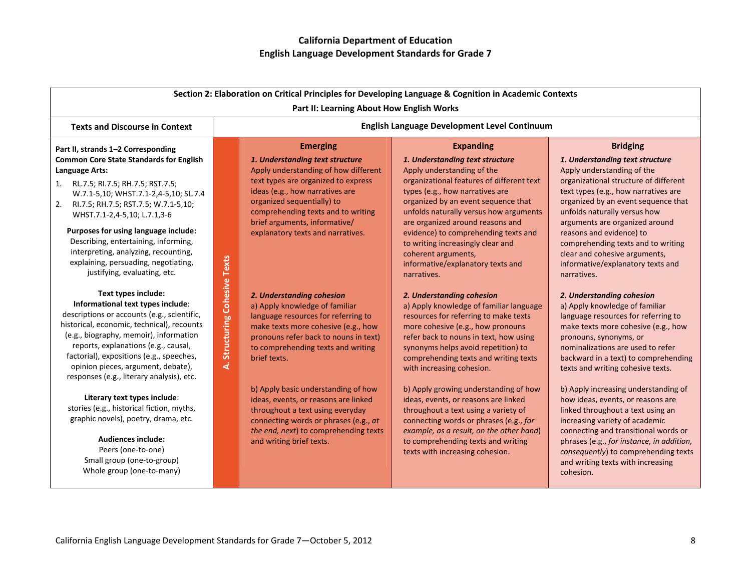|                                                                                                                                                                                                                                                                                                                                                                                                                                      |                                                  |                                                                                                                                                                                                                                                                                                                | Section 2: Elaboration on Critical Principles for Developing Language & Cognition in Academic Contexts                                                                                                                                                                                                                                                                                                                          |                                                                                                                                                                                                                                                                                                                                                                                                                    |
|--------------------------------------------------------------------------------------------------------------------------------------------------------------------------------------------------------------------------------------------------------------------------------------------------------------------------------------------------------------------------------------------------------------------------------------|--------------------------------------------------|----------------------------------------------------------------------------------------------------------------------------------------------------------------------------------------------------------------------------------------------------------------------------------------------------------------|---------------------------------------------------------------------------------------------------------------------------------------------------------------------------------------------------------------------------------------------------------------------------------------------------------------------------------------------------------------------------------------------------------------------------------|--------------------------------------------------------------------------------------------------------------------------------------------------------------------------------------------------------------------------------------------------------------------------------------------------------------------------------------------------------------------------------------------------------------------|
|                                                                                                                                                                                                                                                                                                                                                                                                                                      |                                                  | Part II: Learning About How English Works                                                                                                                                                                                                                                                                      |                                                                                                                                                                                                                                                                                                                                                                                                                                 |                                                                                                                                                                                                                                                                                                                                                                                                                    |
| <b>Texts and Discourse in Context</b>                                                                                                                                                                                                                                                                                                                                                                                                |                                                  |                                                                                                                                                                                                                                                                                                                | English Language Development Level Continuum                                                                                                                                                                                                                                                                                                                                                                                    |                                                                                                                                                                                                                                                                                                                                                                                                                    |
| Part II, strands 1-2 Corresponding<br><b>Common Core State Standards for English</b><br>Language Arts:<br>1. RL.7.5; RI.7.5; RH.7.5; RST.7.5;<br>W.7.1-5,10; WHST.7.1-2,4-5,10; SL.7.4<br>RI.7.5; RH.7.5; RST.7.5; W.7.1-5,10;<br>2.<br>WHST.7.1-2,4-5,10; L.7.1,3-6<br>Purposes for using language include:<br>Describing, entertaining, informing,<br>interpreting, analyzing, recounting,<br>explaining, persuading, negotiating, |                                                  | <b>Emerging</b><br>1. Understanding text structure<br>Apply understanding of how different<br>text types are organized to express<br>ideas (e.g., how narratives are<br>organized sequentially) to<br>comprehending texts and to writing<br>brief arguments, informative/<br>explanatory texts and narratives. | <b>Expanding</b><br>1. Understanding text structure<br>Apply understanding of the<br>organizational features of different text<br>types (e.g., how narratives are<br>organized by an event sequence that<br>unfolds naturally versus how arguments<br>are organized around reasons and<br>evidence) to comprehending texts and<br>to writing increasingly clear and<br>coherent arguments,<br>informative/explanatory texts and | <b>Bridging</b><br>1. Understanding text structure<br>Apply understanding of the<br>organizational structure of different<br>text types (e.g., how narratives are<br>organized by an event sequence that<br>unfolds naturally versus how<br>arguments are organized around<br>reasons and evidence) to<br>comprehending texts and to writing<br>clear and cohesive arguments,<br>informative/explanatory texts and |
| justifying, evaluating, etc.<br>Text types include:<br>Informational text types include:<br>descriptions or accounts (e.g., scientific,<br>historical, economic, technical), recounts<br>(e.g., biography, memoir), information<br>reports, explanations (e.g., causal,<br>factorial), expositions (e.g., speeches,<br>opinion pieces, argument, debate),<br>responses (e.g., literary analysis), etc.                               | <b>Cohesive Texts</b><br><b>Structuring</b><br>4 | 2. Understanding cohesion<br>a) Apply knowledge of familiar<br>language resources for referring to<br>make texts more cohesive (e.g., how<br>pronouns refer back to nouns in text)<br>to comprehending texts and writing<br>brief texts.                                                                       | narratives.<br>2. Understanding cohesion<br>a) Apply knowledge of familiar language<br>resources for referring to make texts<br>more cohesive (e.g., how pronouns<br>refer back to nouns in text, how using<br>synonyms helps avoid repetition) to<br>comprehending texts and writing texts<br>with increasing cohesion.                                                                                                        | narratives.<br>2. Understanding cohesion<br>a) Apply knowledge of familiar<br>language resources for referring to<br>make texts more cohesive (e.g., how<br>pronouns, synonyms, or<br>nominalizations are used to refer<br>backward in a text) to comprehending<br>texts and writing cohesive texts.                                                                                                               |
| Literary text types include:<br>stories (e.g., historical fiction, myths,<br>graphic novels), poetry, drama, etc.<br><b>Audiences include:</b><br>Peers (one-to-one)<br>Small group (one-to-group)<br>Whole group (one-to-many)                                                                                                                                                                                                      |                                                  | b) Apply basic understanding of how<br>ideas, events, or reasons are linked<br>throughout a text using everyday<br>connecting words or phrases (e.g., at<br>the end, next) to comprehending texts<br>and writing brief texts.                                                                                  | b) Apply growing understanding of how<br>ideas, events, or reasons are linked<br>throughout a text using a variety of<br>connecting words or phrases (e.g., for<br>example, as a result, on the other hand)<br>to comprehending texts and writing<br>texts with increasing cohesion.                                                                                                                                            | b) Apply increasing understanding of<br>how ideas, events, or reasons are<br>linked throughout a text using an<br>increasing variety of academic<br>connecting and transitional words or<br>phrases (e.g., for instance, in addition,<br>consequently) to comprehending texts<br>and writing texts with increasing<br>cohesion.                                                                                    |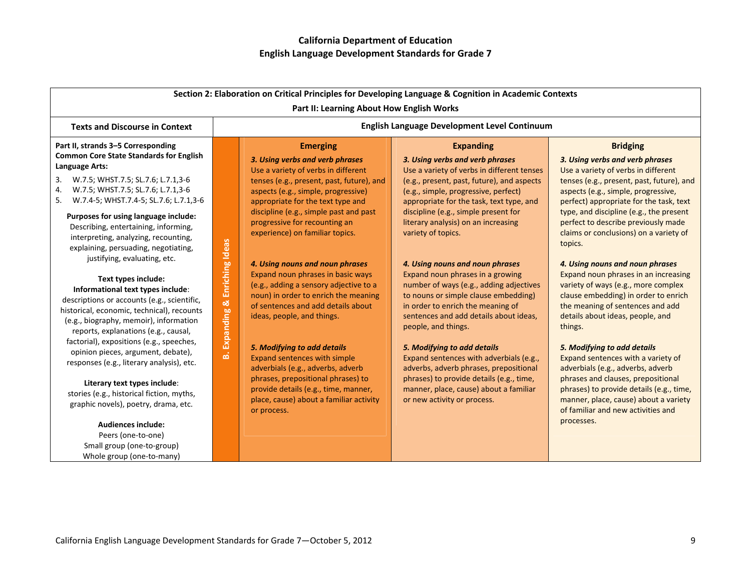|                                                                                                                                                                                                                                                                                                                                                                                                                                                                                                                                                                                                      |                        |                                                                                                                                                                                                                                                                                                                                                                                                                                                                                                                                  | Section 2: Elaboration on Critical Principles for Developing Language & Cognition in Academic Contexts                                                                                                                                                                                                                                                                                                                                                                                                                                  |                                                                                                                                                                                                                                                                                                                                                                                                                                                                                                                                                               |
|------------------------------------------------------------------------------------------------------------------------------------------------------------------------------------------------------------------------------------------------------------------------------------------------------------------------------------------------------------------------------------------------------------------------------------------------------------------------------------------------------------------------------------------------------------------------------------------------------|------------------------|----------------------------------------------------------------------------------------------------------------------------------------------------------------------------------------------------------------------------------------------------------------------------------------------------------------------------------------------------------------------------------------------------------------------------------------------------------------------------------------------------------------------------------|-----------------------------------------------------------------------------------------------------------------------------------------------------------------------------------------------------------------------------------------------------------------------------------------------------------------------------------------------------------------------------------------------------------------------------------------------------------------------------------------------------------------------------------------|---------------------------------------------------------------------------------------------------------------------------------------------------------------------------------------------------------------------------------------------------------------------------------------------------------------------------------------------------------------------------------------------------------------------------------------------------------------------------------------------------------------------------------------------------------------|
|                                                                                                                                                                                                                                                                                                                                                                                                                                                                                                                                                                                                      |                        | Part II: Learning About How English Works                                                                                                                                                                                                                                                                                                                                                                                                                                                                                        |                                                                                                                                                                                                                                                                                                                                                                                                                                                                                                                                         |                                                                                                                                                                                                                                                                                                                                                                                                                                                                                                                                                               |
| <b>Texts and Discourse in Context</b>                                                                                                                                                                                                                                                                                                                                                                                                                                                                                                                                                                |                        |                                                                                                                                                                                                                                                                                                                                                                                                                                                                                                                                  | <b>English Language Development Level Continuum</b>                                                                                                                                                                                                                                                                                                                                                                                                                                                                                     |                                                                                                                                                                                                                                                                                                                                                                                                                                                                                                                                                               |
| Part II, strands 3-5 Corresponding<br><b>Common Core State Standards for English</b><br>Language Arts:<br>3. W.7.5; WHST.7.5; SL.7.6; L.7.1,3-6<br>W.7.5; WHST.7.5; SL.7.6; L.7.1,3-6<br>4.<br>W.7.4-5; WHST.7.4-5; SL.7.6; L.7.1,3-6<br>5.<br>Purposes for using language include:<br>Describing, entertaining, informing,<br>interpreting, analyzing, recounting,<br>explaining, persuading, negotiating,<br>justifying, evaluating, etc.<br>Text types include:<br>Informational text types include:<br>descriptions or accounts (e.g., scientific,<br>historical, economic, technical), recounts | Enriching Ideas<br>œ   | <b>Emerging</b><br>3. Using verbs and verb phrases<br>Use a variety of verbs in different<br>tenses (e.g., present, past, future), and<br>aspects (e.g., simple, progressive)<br>appropriate for the text type and<br>discipline (e.g., simple past and past<br>progressive for recounting an<br>experience) on familiar topics.<br>4. Using nouns and noun phrases<br>Expand noun phrases in basic ways<br>(e.g., adding a sensory adjective to a<br>noun) in order to enrich the meaning<br>of sentences and add details about | <b>Expanding</b><br>3. Using verbs and verb phrases<br>Use a variety of verbs in different tenses<br>(e.g., present, past, future), and aspects<br>(e.g., simple, progressive, perfect)<br>appropriate for the task, text type, and<br>discipline (e.g., simple present for<br>literary analysis) on an increasing<br>variety of topics.<br>4. Using nouns and noun phrases<br>Expand noun phrases in a growing<br>number of ways (e.g., adding adjectives<br>to nouns or simple clause embedding)<br>in order to enrich the meaning of | <b>Bridging</b><br>3. Using verbs and verb phrases<br>Use a variety of verbs in different<br>tenses (e.g., present, past, future), and<br>aspects (e.g., simple, progressive,<br>perfect) appropriate for the task, text<br>type, and discipline (e.g., the present<br>perfect to describe previously made<br>claims or conclusions) on a variety of<br>topics.<br>4. Using nouns and noun phrases<br>Expand noun phrases in an increasing<br>variety of ways (e.g., more complex<br>clause embedding) in order to enrich<br>the meaning of sentences and add |
| (e.g., biography, memoir), information<br>reports, explanations (e.g., causal,<br>factorial), expositions (e.g., speeches,<br>opinion pieces, argument, debate),<br>responses (e.g., literary analysis), etc.<br>Literary text types include:<br>stories (e.g., historical fiction, myths,<br>graphic novels), poetry, drama, etc.<br><b>Audiences include:</b><br>Peers (one-to-one)<br>Small group (one-to-group)                                                                                                                                                                                  | <b>Expanding</b><br>ക് | ideas, people, and things.<br>5. Modifying to add details<br>Expand sentences with simple<br>adverbials (e.g., adverbs, adverb<br>phrases, prepositional phrases) to<br>provide details (e.g., time, manner,<br>place, cause) about a familiar activity<br>or process.                                                                                                                                                                                                                                                           | sentences and add details about ideas,<br>people, and things.<br>5. Modifying to add details<br>Expand sentences with adverbials (e.g.,<br>adverbs, adverb phrases, prepositional<br>phrases) to provide details (e.g., time,<br>manner, place, cause) about a familiar<br>or new activity or process.                                                                                                                                                                                                                                  | details about ideas, people, and<br>things.<br>5. Modifying to add details<br>Expand sentences with a variety of<br>adverbials (e.g., adverbs, adverb<br>phrases and clauses, prepositional<br>phrases) to provide details (e.g., time,<br>manner, place, cause) about a variety<br>of familiar and new activities and<br>processes.                                                                                                                                                                                                                          |

Whole group (one‐to‐many)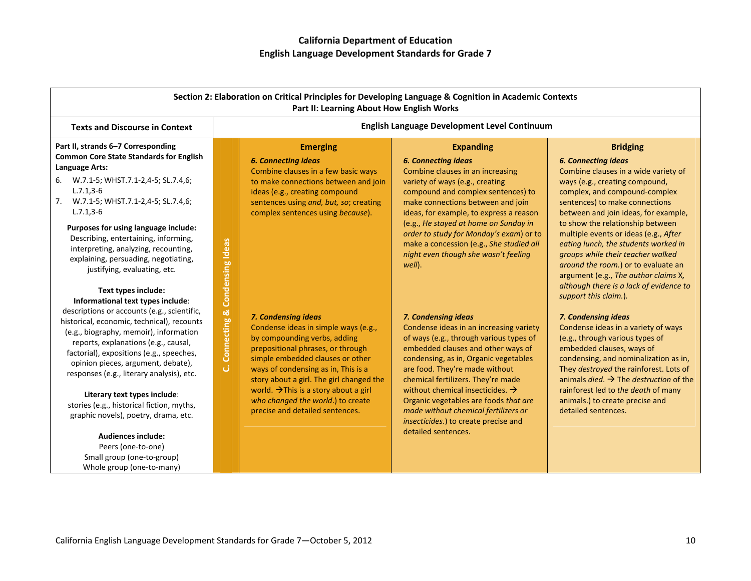|                                                                                                                                                                                                                                                                                                                           |                  | Part II: Learning About How English Works                                                                                                                                                                    | Section 2: Elaboration on Critical Principles for Developing Language & Cognition in Academic Contexts                                                                                                                                                               |                                                                                                                                                                                                                                         |
|---------------------------------------------------------------------------------------------------------------------------------------------------------------------------------------------------------------------------------------------------------------------------------------------------------------------------|------------------|--------------------------------------------------------------------------------------------------------------------------------------------------------------------------------------------------------------|----------------------------------------------------------------------------------------------------------------------------------------------------------------------------------------------------------------------------------------------------------------------|-----------------------------------------------------------------------------------------------------------------------------------------------------------------------------------------------------------------------------------------|
| <b>Texts and Discourse in Context</b>                                                                                                                                                                                                                                                                                     |                  |                                                                                                                                                                                                              | English Language Development Level Continuum                                                                                                                                                                                                                         |                                                                                                                                                                                                                                         |
| Part II, strands 6-7 Corresponding<br><b>Common Core State Standards for English</b><br><b>Language Arts:</b>                                                                                                                                                                                                             |                  | <b>Emerging</b><br><b>6. Connecting ideas</b><br>Combine clauses in a few basic ways                                                                                                                         | <b>Expanding</b><br><b>6. Connecting ideas</b><br>Combine clauses in an increasing                                                                                                                                                                                   | <b>Bridging</b><br><b>6. Connecting ideas</b><br>Combine clauses in a wide variety of                                                                                                                                                   |
| W.7.1-5; WHST.7.1-2,4-5; SL.7.4,6;<br>6.<br>$L.7.1, 3-6$<br>7. W.7.1-5; WHST.7.1-2,4-5; SL.7.4,6;<br>$L.7.1, 3-6$                                                                                                                                                                                                         |                  | to make connections between and join<br>ideas (e.g., creating compound<br>sentences using and, but, so; creating<br>complex sentences using because).                                                        | variety of ways (e.g., creating<br>compound and complex sentences) to<br>make connections between and join<br>ideas, for example, to express a reason                                                                                                                | ways (e.g., creating compound,<br>complex, and compound-complex<br>sentences) to make connections<br>between and join ideas, for example,                                                                                               |
| Purposes for using language include:<br>Describing, entertaining, informing,<br>interpreting, analyzing, recounting,<br>explaining, persuading, negotiating,<br>justifying, evaluating, etc.                                                                                                                              | Condensing Ideas |                                                                                                                                                                                                              | (e.g., He stayed at home on Sunday in<br>order to study for Monday's exam) or to<br>make a concession (e.g., She studied all<br>night even though she wasn't feeling<br>well).                                                                                       | to show the relationship between<br>multiple events or ideas (e.g., After<br>eating lunch, the students worked in<br>groups while their teacher walked<br>around the room.) or to evaluate an<br>argument (e.g., The author claims X,   |
| Text types include:<br>Informational text types include:<br>descriptions or accounts (e.g., scientific,<br>historical, economic, technical), recounts<br>(e.g., biography, memoir), information<br>reports, explanations (e.g., causal,<br>factorial), expositions (e.g., speeches,<br>opinion pieces, argument, debate), | Connecting &     | 7. Condensing ideas<br>Condense ideas in simple ways (e.g.,<br>by compounding verbs, adding<br>prepositional phrases, or through<br>simple embedded clauses or other                                         | 7. Condensing ideas<br>Condense ideas in an increasing variety<br>of ways (e.g., through various types of<br>embedded clauses and other ways of<br>condensing, as in, Organic vegetables                                                                             | although there is a lack of evidence to<br>support this claim.).<br>7. Condensing ideas<br>Condense ideas in a variety of ways<br>(e.g., through various types of<br>embedded clauses, ways of<br>condensing, and nominalization as in, |
| responses (e.g., literary analysis), etc.<br>Literary text types include:<br>stories (e.g., historical fiction, myths,<br>graphic novels), poetry, drama, etc.<br><b>Audiences include:</b><br>Peers (one-to-one)<br>Small group (one-to-group)<br>Whole group (one-to-many)                                              | ان               | ways of condensing as in, This is a<br>story about a girl. The girl changed the<br>world. $\rightarrow$ This is a story about a girl<br>who changed the world.) to create<br>precise and detailed sentences. | are food. They're made without<br>chemical fertilizers. They're made<br>without chemical insecticides. $\rightarrow$<br>Organic vegetables are foods that are<br>made without chemical fertilizers or<br>insecticides.) to create precise and<br>detailed sentences. | They destroyed the rainforest. Lots of<br>animals <i>died</i> . $\rightarrow$ The <i>destruction</i> of the<br>rainforest led to the death of many<br>animals.) to create precise and<br>detailed sentences.                            |